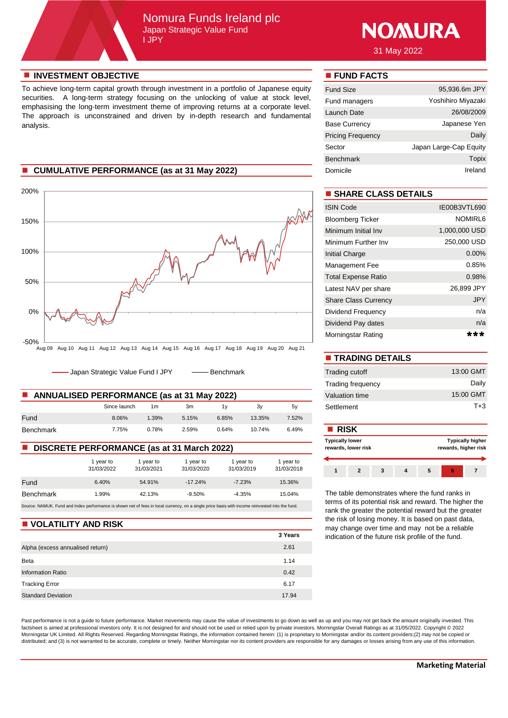# Nomura Funds Ireland plc Japan Strategic Value Fund I JPY



31 May 2022

#### **n** INVESTMENT OBJECTIVE **n FUND FACTS**

To achieve long-term capital growth through investment in a portfolio of Japanese equity securities. A long-term strategy focusing on the unlocking of value at stock level, emphasising the long-term investment theme of improving returns at a corporate level. The approach is unconstrained and driven by in-depth research and fundamental analysis.

# **n** CUMULATIVE PERFORMANCE (as at 31 May 2022)



- Japan Strategic Value Fund I JPY - -- Benchmark

| <b>ANNUALISED PERFORMANCE (as at 31 May 2022)</b><br><b>The Contract of the Contract of the Contract of the Contract of the Contract of the Contract of the Contract of the Contract of the Contract of the Contract of the Contract of the Contract of the Contract of the Contract </b> |              |       |       |       |        |       | Valuation time |
|-------------------------------------------------------------------------------------------------------------------------------------------------------------------------------------------------------------------------------------------------------------------------------------------|--------------|-------|-------|-------|--------|-------|----------------|
|                                                                                                                                                                                                                                                                                           | Since launch | 1m    | 3m    |       | 3v     | 5v    | Settlement     |
| Fund                                                                                                                                                                                                                                                                                      | 8.06%        | 1.39% | 5.15% | 6.85% | 13.35% | 7.52% |                |
| Benchmark                                                                                                                                                                                                                                                                                 | 7.75%        | 0.78% | 2.59% | 0.64% | 10.74% | 6.49% | <b>RISK</b>    |

#### ■ **DISCRETE PERFORMANCE** (as at 31 March 2022)

|                                                                                                                                                 | 1 vear to<br>31/03/2022 | 1 vear to<br>31/03/2021 | 1 year to<br>31/03/2020 | 1 year to<br>31/03/2019 | 1 year to<br>31/03/2018 |  |  |
|-------------------------------------------------------------------------------------------------------------------------------------------------|-------------------------|-------------------------|-------------------------|-------------------------|-------------------------|--|--|
| Fund                                                                                                                                            | 6.40%                   | 54.91%                  | $-17.24%$               | $-7.23%$                | 15.36%                  |  |  |
| <b>Benchmark</b>                                                                                                                                | 1.99%                   | 42.13%                  | $-9.50%$                | $-4.35%$                | 15.04%                  |  |  |
| Source: NAMUK. Fund and Index performance is shown net of fees in local currency, on a single price basis with income reinvested into the fund. |                         |                         |                         |                         |                         |  |  |

#### **N** VOLATILITY AND RISK

|                                  | 3 Years |
|----------------------------------|---------|
| Alpha (excess annualised return) | 2.61    |
| Beta                             | 1.14    |
| <b>Information Ratio</b>         | 0.42    |
| <b>Tracking Error</b>            | 6.17    |
| <b>Standard Deviation</b>        | 17.94   |

Past performance is not a guide to future performance. Market movements may cause the value of investments to go down as well as up and you may not get back the amount originally invested. This factsheet is aimed at professional investors only. It is not designed for and should not be used or relied upon by private investors. Morningstar Overall Ratings as at 31/05/2022. Copyright © 2022 Morningstar UK Limited. All Rights Reserved. Regarding Morningstar Ratings, the information contained herein: (1) is proprietary to Morningstar and/or its content providers;(2) may not be copied or distributed; and (3) is not warranted to be accurate, complete or timely. Neither Morningstar nor its content providers are responsible for any damages or losses arising from any use of this information.

| <b>Fund Size</b>         | 95,936.6m JPY          |
|--------------------------|------------------------|
| Fund managers            | Yoshihiro Miyazaki     |
| Launch Date              | 26/08/2009             |
| <b>Base Currency</b>     | Japanese Yen           |
| <b>Pricing Frequency</b> | Daily                  |
| Sector                   | Japan Large-Cap Equity |
| <b>Benchmark</b>         | Topix                  |
| Domicile                 | Ireland                |

# $\blacksquare$  **SHARE CLASS DETAILS**

| <b>ISIN Code</b>            | IE00B3VTL690  |
|-----------------------------|---------------|
| <b>Bloomberg Ticker</b>     | NOMIRL6       |
| Minimum Initial Inv         | 1,000,000 USD |
| Minimum Further Inv         | 250,000 USD   |
| Initial Charge              | $0.00\%$      |
| Management Fee              | 0.85%         |
| <b>Total Expense Ratio</b>  | 0.98%         |
| Latest NAV per share        | 26,899 JPY    |
| <b>Share Class Currency</b> | <b>JPY</b>    |
| Dividend Frequency          | n/a           |
| Dividend Pay dates          | n/a           |
| Morningstar Rating          |               |

| <b>TRADING DETAILS</b>   |           |
|--------------------------|-----------|
| Trading cutoff           | 13:00 GMT |
| <b>Trading frequency</b> | Daily     |
| Valuation time           | 15:00 GMT |
| Settlement               | $T + 3$   |

| <b>RISK</b>            |                     |  |                                                 |  |  |  |  |  |
|------------------------|---------------------|--|-------------------------------------------------|--|--|--|--|--|
| <b>Typically lower</b> | rewards, lower risk |  | <b>Typically higher</b><br>rewards, higher risk |  |  |  |  |  |
|                        |                     |  |                                                 |  |  |  |  |  |
|                        |                     |  |                                                 |  |  |  |  |  |

The table demonstrates where the fund ranks in terms of its potential risk and reward. The higher the rank the greater the potential reward but the greater the risk of losing money. It is based on past data, may change over time and may not be a reliable indication of the future risk profile of the fund.